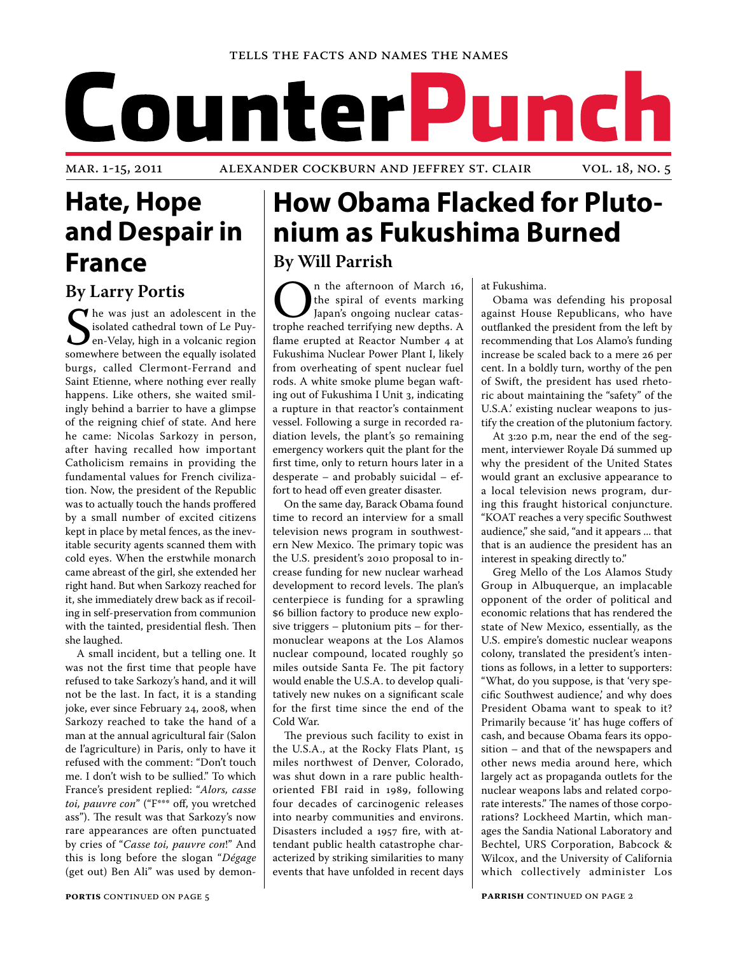# CounterP unch

## **Hate, Hope and Despair in France**

**By Larry Portis**

Solated cathedral town of Le Puyton-Velay, high in a volcanic region somewhere between the equally isolated The was just an adolescent in the isolated cathedral town of Le Puyen-Velay, high in a volcanic region burgs, called Clermont-Ferrand and Saint Etienne, where nothing ever really happens. Like others, she waited smilingly behind a barrier to have a glimpse of the reigning chief of state. And here he came: Nicolas Sarkozy in person, after having recalled how important Catholicism remains in providing the fundamental values for French civilization. Now, the president of the Republic was to actually touch the hands proffered by a small number of excited citizens kept in place by metal fences, as the inevitable security agents scanned them with cold eyes. When the erstwhile monarch came abreast of the girl, she extended her right hand. But when Sarkozy reached for it, she immediately drew back as if recoiling in self-preservation from communion with the tainted, presidential flesh. Then she laughed.

A small incident, but a telling one. It was not the first time that people have refused to take Sarkozy's hand, and it will not be the last. In fact, it is a standing joke, ever since February 24, 2008, when Sarkozy reached to take the hand of a man at the annual agricultural fair (Salon de l'agriculture) in Paris, only to have it refused with the comment: "Don't touch me. I don't wish to be sullied." To which France's president replied: "*Alors, casse toi, pauvre con*" ("F\*\*\* off, you wretched ass"). The result was that Sarkozy's now rare appearances are often punctuated by cries of "*Casse toi, pauvre con*!" And this is long before the slogan "*Dégage* (get out) Ben Ali" was used by demon-

## **How Obama Flacked for Plutonium as Fukushima Burned By Will Parrish**

**ORALLER ISLEM** In the afternoon of March 16, the spiral of events marking Japan's ongoing nuclear catastrophe reached terrifying new depths. A the spiral of events marking Japan's ongoing nuclear catasflame erupted at Reactor Number 4 at Fukushima Nuclear Power Plant I, likely from overheating of spent nuclear fuel rods. A white smoke plume began wafting out of Fukushima I Unit 3, indicating a rupture in that reactor's containment vessel. Following a surge in recorded radiation levels, the plant's 50 remaining emergency workers quit the plant for the first time, only to return hours later in a desperate – and probably suicidal – effort to head off even greater disaster.

On the same day, Barack Obama found time to record an interview for a small television news program in southwestern New Mexico. The primary topic was the U.S. president's 2010 proposal to increase funding for new nuclear warhead development to record levels. The plan's centerpiece is funding for a sprawling \$6 billion factory to produce new explosive triggers – plutonium pits – for thermonuclear weapons at the Los Alamos nuclear compound, located roughly 50 miles outside Santa Fe. The pit factory would enable the U.S.A. to develop qualitatively new nukes on a significant scale for the first time since the end of the Cold War.

The previous such facility to exist in the U.S.A., at the Rocky Flats Plant, 15 miles northwest of Denver, Colorado, was shut down in a rare public healthoriented FBI raid in 1989, following four decades of carcinogenic releases into nearby communities and environs. Disasters included a 1957 fire, with attendant public health catastrophe characterized by striking similarities to many events that have unfolded in recent days at Fukushima.

Obama was defending his proposal against House Republicans, who have outflanked the president from the left by recommending that Los Alamo's funding increase be scaled back to a mere 26 per cent. In a boldly turn, worthy of the pen of Swift, the president has used rhetoric about maintaining the "safety" of the U.S.A.' existing nuclear weapons to justify the creation of the plutonium factory.

At 3:20 p.m, near the end of the segment, interviewer Royale Dá summed up why the president of the United States would grant an exclusive appearance to a local television news program, during this fraught historical conjuncture. "KOAT reaches a very specific Southwest audience," she said, "and it appears ... that that is an audience the president has an interest in speaking directly to."

Greg Mello of the Los Alamos Study Group in Albuquerque, an implacable opponent of the order of political and economic relations that has rendered the state of New Mexico, essentially, as the U.S. empire's domestic nuclear weapons colony, translated the president's intentions as follows, in a letter to supporters: "What, do you suppose, is that 'very specific Southwest audience,' and why does President Obama want to speak to it? Primarily because 'it' has huge coffers of cash, and because Obama fears its opposition – and that of the newspapers and other news media around here, which largely act as propaganda outlets for the nuclear weapons labs and related corporate interests." The names of those corporations? Lockheed Martin, which manages the Sandia National Laboratory and Bechtel, URS Corporation, Babcock & Wilcox, and the University of California which collectively administer Los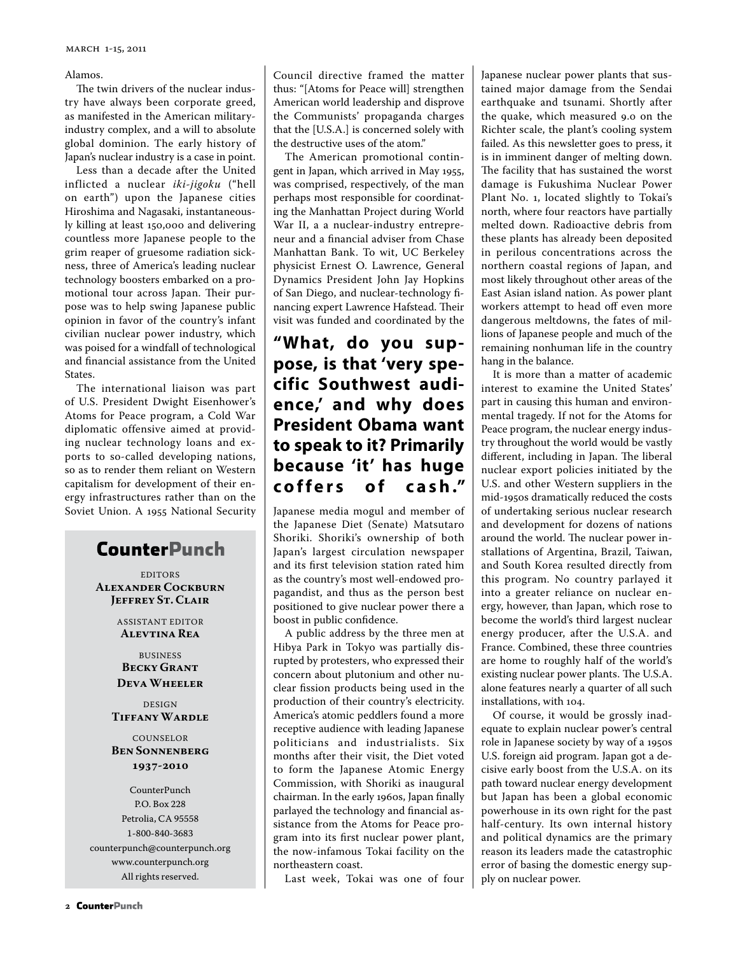Alamos.

The twin drivers of the nuclear industry have always been corporate greed, as manifested in the American militaryindustry complex, and a will to absolute global dominion. The early history of Japan's nuclear industry is a case in point.

Less than a decade after the United inflicted a nuclear *iki-jigoku* ("hell on earth") upon the Japanese cities Hiroshima and Nagasaki, instantaneously killing at least 150,000 and delivering countless more Japanese people to the grim reaper of gruesome radiation sickness, three of America's leading nuclear technology boosters embarked on a promotional tour across Japan. Their purpose was to help swing Japanese public opinion in favor of the country's infant civilian nuclear power industry, which was poised for a windfall of technological and financial assistance from the United States.

The international liaison was part of U.S. President Dwight Eisenhower's Atoms for Peace program, a Cold War diplomatic offensive aimed at providing nuclear technology loans and exports to so-called developing nations, so as to render them reliant on Western capitalism for development of their energy infrastructures rather than on the Soviet Union. A 1955 National Security

## **CounterPunch**

**EDITORS Alexander Cockburn Jeffrey St. Clair**

> ASSISTANT EDITOR **Alevtina Rea**

BUSINESS **Becky Grant Deva Wheeler**

DESIGN **Tiffany Wardle**

COUNSELOR **Ben Sonnenberg 1937-2010**

CounterPunch P.O. Box 228 Petrolia, CA 95558 1-800-840-3683 counterpunch@counterpunch.org www.counterpunch.org All rights reserved.

Council directive framed the matter thus: "[Atoms for Peace will] strengthen American world leadership and disprove the Communists' propaganda charges that the [U.S.A.] is concerned solely with the destructive uses of the atom."

The American promotional contingent in Japan, which arrived in May 1955, was comprised, respectively, of the man perhaps most responsible for coordinating the Manhattan Project during World War II, a a nuclear-industry entrepreneur and a financial adviser from Chase Manhattan Bank. To wit, UC Berkeley physicist Ernest O. Lawrence, General Dynamics President John Jay Hopkins of San Diego, and nuclear-technology financing expert Lawrence Hafstead. Their visit was funded and coordinated by the

## **"What, do you suppose, is that 'very specific Southwest audience,' and why does President Obama want to speak to it? Primarily because 'it' has huge c o f f e r s o f c a s h ."**

Japanese media mogul and member of the Japanese Diet (Senate) Matsutaro Shoriki. Shoriki's ownership of both Japan's largest circulation newspaper and its first television station rated him as the country's most well-endowed propagandist, and thus as the person best positioned to give nuclear power there a boost in public confidence.

A public address by the three men at Hibya Park in Tokyo was partially disrupted by protesters, who expressed their concern about plutonium and other nuclear fission products being used in the production of their country's electricity. America's atomic peddlers found a more receptive audience with leading Japanese politicians and industrialists. Six months after their visit, the Diet voted to form the Japanese Atomic Energy Commission, with Shoriki as inaugural chairman. In the early 1960s, Japan finally parlayed the technology and financial assistance from the Atoms for Peace program into its first nuclear power plant, the now-infamous Tokai facility on the northeastern coast.

Last week, Tokai was one of four

Japanese nuclear power plants that sustained major damage from the Sendai earthquake and tsunami. Shortly after the quake, which measured 9.0 on the Richter scale, the plant's cooling system failed. As this newsletter goes to press, it is in imminent danger of melting down. The facility that has sustained the worst damage is Fukushima Nuclear Power Plant No. 1, located slightly to Tokai's north, where four reactors have partially melted down. Radioactive debris from these plants has already been deposited in perilous concentrations across the northern coastal regions of Japan, and most likely throughout other areas of the East Asian island nation. As power plant workers attempt to head off even more dangerous meltdowns, the fates of millions of Japanese people and much of the remaining nonhuman life in the country hang in the balance.

It is more than a matter of academic interest to examine the United States' part in causing this human and environmental tragedy. If not for the Atoms for Peace program, the nuclear energy industry throughout the world would be vastly different, including in Japan. The liberal nuclear export policies initiated by the U.S. and other Western suppliers in the mid-1950s dramatically reduced the costs of undertaking serious nuclear research and development for dozens of nations around the world. The nuclear power installations of Argentina, Brazil, Taiwan, and South Korea resulted directly from this program. No country parlayed it into a greater reliance on nuclear energy, however, than Japan, which rose to become the world's third largest nuclear energy producer, after the U.S.A. and France. Combined, these three countries are home to roughly half of the world's existing nuclear power plants. The U.S.A. alone features nearly a quarter of all such installations, with 104.

Of course, it would be grossly inadequate to explain nuclear power's central role in Japanese society by way of a 1950s U.S. foreign aid program. Japan got a decisive early boost from the U.S.A. on its path toward nuclear energy development but Japan has been a global economic powerhouse in its own right for the past half-century. Its own internal history and political dynamics are the primary reason its leaders made the catastrophic error of basing the domestic energy supply on nuclear power.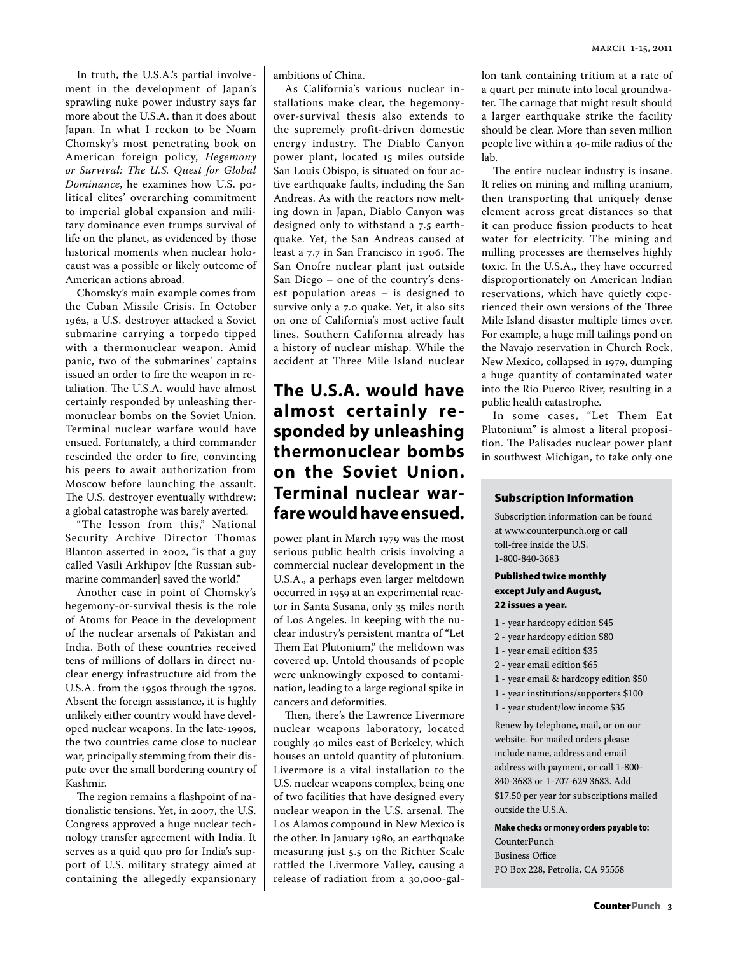In truth, the U.S.A.'s partial involvement in the development of Japan's sprawling nuke power industry says far more about the U.S.A. than it does about Japan. In what I reckon to be Noam Chomsky's most penetrating book on American foreign policy, *Hegemony or Survival: The U.S. Quest for Global Dominance*, he examines how U.S. political elites' overarching commitment to imperial global expansion and military dominance even trumps survival of life on the planet, as evidenced by those historical moments when nuclear holocaust was a possible or likely outcome of American actions abroad.

Chomsky's main example comes from the Cuban Missile Crisis. In October 1962, a U.S. destroyer attacked a Soviet submarine carrying a torpedo tipped with a thermonuclear weapon. Amid panic, two of the submarines' captains issued an order to fire the weapon in retaliation. The U.S.A. would have almost certainly responded by unleashing thermonuclear bombs on the Soviet Union. Terminal nuclear warfare would have ensued. Fortunately, a third commander rescinded the order to fire, convincing his peers to await authorization from Moscow before launching the assault. The U.S. destroyer eventually withdrew; a global catastrophe was barely averted.

"The lesson from this," National Security Archive Director Thomas Blanton asserted in 2002, "is that a guy called Vasili Arkhipov [the Russian submarine commander] saved the world."

Another case in point of Chomsky's hegemony-or-survival thesis is the role of Atoms for Peace in the development of the nuclear arsenals of Pakistan and India. Both of these countries received tens of millions of dollars in direct nuclear energy infrastructure aid from the U.S.A. from the 1950s through the 1970s. Absent the foreign assistance, it is highly unlikely either country would have developed nuclear weapons. In the late-1990s, the two countries came close to nuclear war, principally stemming from their dispute over the small bordering country of Kashmir.

The region remains a flashpoint of nationalistic tensions. Yet, in 2007, the U.S. Congress approved a huge nuclear technology transfer agreement with India. It serves as a quid quo pro for India's support of U.S. military strategy aimed at containing the allegedly expansionary

ambitions of China.

As California's various nuclear installations make clear, the hegemonyover-survival thesis also extends to the supremely profit-driven domestic energy industry. The Diablo Canyon power plant, located 15 miles outside San Louis Obispo, is situated on four active earthquake faults, including the San Andreas. As with the reactors now melting down in Japan, Diablo Canyon was designed only to withstand a 7.5 earthquake. Yet, the San Andreas caused at least a 7.7 in San Francisco in 1906. The San Onofre nuclear plant just outside San Diego – one of the country's densest population areas – is designed to survive only a 7.0 quake. Yet, it also sits on one of California's most active fault lines. Southern California already has a history of nuclear mishap. While the accident at Three Mile Island nuclear

## **The U.S.A. would have almost certainly re sponded by unleashing thermonuclear bombs on the Soviet Union. Terminal nuclear warfare would have ensued.**

power plant in March 1979 was the most serious public health crisis involving a commercial nuclear development in the U.S.A., a perhaps even larger meltdown occurred in 1959 at an experimental reactor in Santa Susana, only 35 miles north of Los Angeles. In keeping with the nuclear industry's persistent mantra of "Let Them Eat Plutonium," the meltdown was covered up. Untold thousands of people were unknowingly exposed to contamination, leading to a large regional spike in cancers and deformities.

Then, there's the Lawrence Livermore nuclear weapons laboratory, located roughly 40 miles east of Berkeley, which houses an untold quantity of plutonium. Livermore is a vital installation to the U.S. nuclear weapons complex, being one of two facilities that have designed every nuclear weapon in the U.S. arsenal. The Los Alamos compound in New Mexico is the other. In January 1980, an earthquake measuring just 5.5 on the Richter Scale rattled the Livermore Valley, causing a release of radiation from a 30,000-gal-

lon tank containing tritium at a rate of a quart per minute into local groundwater. The carnage that might result should a larger earthquake strike the facility should be clear. More than seven million people live within a 40-mile radius of the lab.

The entire nuclear industry is insane. It relies on mining and milling uranium, then transporting that uniquely dense element across great distances so that it can produce fission products to heat water for electricity. The mining and milling processes are themselves highly toxic. In the U.S.A., they have occurred disproportionately on American Indian reservations, which have quietly experienced their own versions of the Three Mile Island disaster multiple times over. For example, a huge mill tailings pond on the Navajo reservation in Church Rock, New Mexico, collapsed in 1979, dumping a huge quantity of contaminated water into the Rio Puerco River, resulting in a public health catastrophe.

In some cases, "Let Them Eat Plutonium" is almost a literal proposition. The Palisades nuclear power plant in southwest Michigan, to take only one

#### Subscription Information

Subscription information can be found at www.counterpunch.org or call toll-free inside the U.S. 1-800-840-3683

#### Published twice monthly except July and August, 22 issues a year.

- 1 year hardcopy edition \$45
- 2 year hardcopy edition \$80
- 1 year email edition \$35
- 2 year email edition \$65
- 1 year email & hardcopy edition \$50
- 1 year institutions/supporters \$100
- 1 year student/low income \$35

Renew by telephone, mail, or on our website. For mailed orders please include name, address and email address with payment, or call 1-800- 840-3683 or 1-707-629 3683. Add \$17.50 per year for subscriptions mailed outside the U.S.A.

**Make checks or money orders payable to:** 

CounterPunch Business Office PO Box 228, Petrolia, CA 95558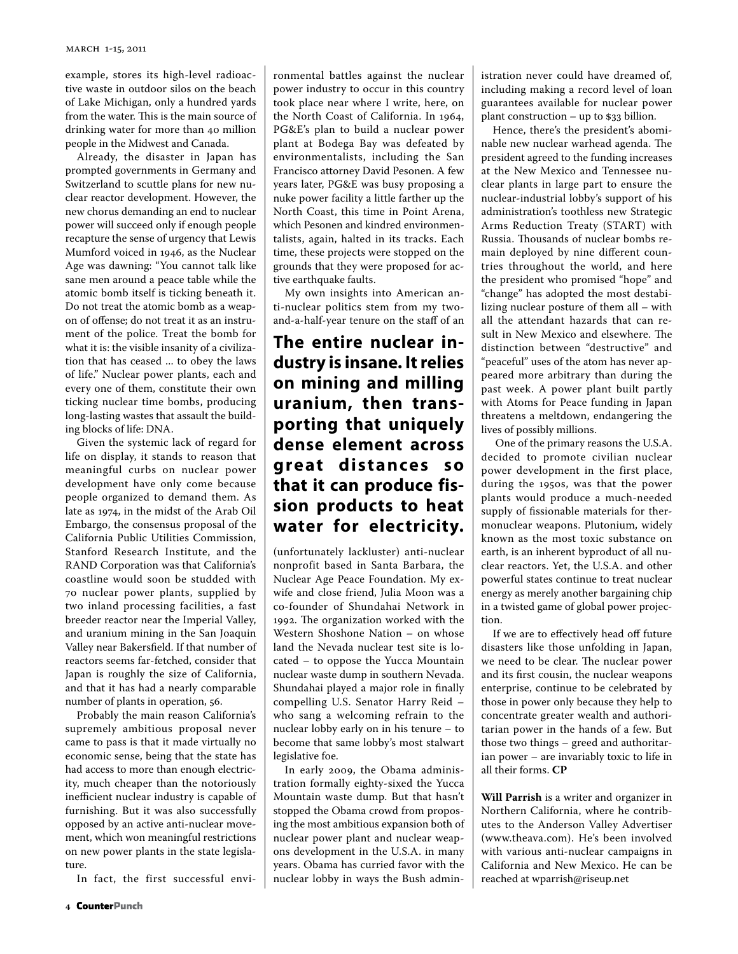example, stores its high-level radioactive waste in outdoor silos on the beach of Lake Michigan, only a hundred yards from the water. This is the main source of drinking water for more than 40 million people in the Midwest and Canada.

Already, the disaster in Japan has prompted governments in Germany and Switzerland to scuttle plans for new nuclear reactor development. However, the new chorus demanding an end to nuclear power will succeed only if enough people recapture the sense of urgency that Lewis Mumford voiced in 1946, as the Nuclear Age was dawning: "You cannot talk like sane men around a peace table while the atomic bomb itself is ticking beneath it. Do not treat the atomic bomb as a weapon of offense; do not treat it as an instrument of the police. Treat the bomb for what it is: the visible insanity of a civilization that has ceased ... to obey the laws of life." Nuclear power plants, each and every one of them, constitute their own ticking nuclear time bombs, producing long-lasting wastes that assault the building blocks of life: DNA.

Given the systemic lack of regard for life on display, it stands to reason that meaningful curbs on nuclear power development have only come because people organized to demand them. As late as 1974, in the midst of the Arab Oil Embargo, the consensus proposal of the California Public Utilities Commission, Stanford Research Institute, and the RAND Corporation was that California's coastline would soon be studded with 70 nuclear power plants, supplied by two inland processing facilities, a fast breeder reactor near the Imperial Valley, and uranium mining in the San Joaquin Valley near Bakersfield. If that number of reactors seems far-fetched, consider that Japan is roughly the size of California, and that it has had a nearly comparable number of plants in operation, 56.

Probably the main reason California's supremely ambitious proposal never came to pass is that it made virtually no economic sense, being that the state has had access to more than enough electricity, much cheaper than the notoriously inefficient nuclear industry is capable of furnishing. But it was also successfully opposed by an active anti-nuclear movement, which won meaningful restrictions on new power plants in the state legislature.

In fact, the first successful envi-

ronmental battles against the nuclear power industry to occur in this country took place near where I write, here, on the North Coast of California. In 1964, PG&E's plan to build a nuclear power plant at Bodega Bay was defeated by environmentalists, including the San Francisco attorney David Pesonen. A few years later, PG&E was busy proposing a nuke power facility a little farther up the North Coast, this time in Point Arena, which Pesonen and kindred environmentalists, again, halted in its tracks. Each time, these projects were stopped on the grounds that they were proposed for active earthquake faults.

My own insights into American anti-nuclear politics stem from my twoand-a-half-year tenure on the staff of an

### **The entire nuclear industry is insane. It relies on mining and milling uranium, then transporting that uniquely dense element across great distances so that it can produce fission products to heat water for electricity.**

(unfortunately lackluster) anti-nuclear nonprofit based in Santa Barbara, the Nuclear Age Peace Foundation. My exwife and close friend, Julia Moon was a co-founder of Shundahai Network in 1992. The organization worked with the Western Shoshone Nation – on whose land the Nevada nuclear test site is located – to oppose the Yucca Mountain nuclear waste dump in southern Nevada. Shundahai played a major role in finally compelling U.S. Senator Harry Reid – who sang a welcoming refrain to the nuclear lobby early on in his tenure – to become that same lobby's most stalwart legislative foe.

In early 2009, the Obama administration formally eighty-sixed the Yucca Mountain waste dump. But that hasn't stopped the Obama crowd from proposing the most ambitious expansion both of nuclear power plant and nuclear weapons development in the U.S.A. in many years. Obama has curried favor with the nuclear lobby in ways the Bush administration never could have dreamed of, including making a record level of loan guarantees available for nuclear power plant construction – up to \$33 billion.

Hence, there's the president's abominable new nuclear warhead agenda. The president agreed to the funding increases at the New Mexico and Tennessee nuclear plants in large part to ensure the nuclear-industrial lobby's support of his administration's toothless new Strategic Arms Reduction Treaty (START) with Russia. Thousands of nuclear bombs remain deployed by nine different countries throughout the world, and here the president who promised "hope" and "change" has adopted the most destabilizing nuclear posture of them all – with all the attendant hazards that can result in New Mexico and elsewhere. The distinction between "destructive" and "peaceful" uses of the atom has never appeared more arbitrary than during the past week. A power plant built partly with Atoms for Peace funding in Japan threatens a meltdown, endangering the lives of possibly millions.

 One of the primary reasons the U.S.A. decided to promote civilian nuclear power development in the first place, during the 1950s, was that the power plants would produce a much-needed supply of fissionable materials for thermonuclear weapons. Plutonium, widely known as the most toxic substance on earth, is an inherent byproduct of all nuclear reactors. Yet, the U.S.A. and other powerful states continue to treat nuclear energy as merely another bargaining chip in a twisted game of global power projection.

If we are to effectively head off future disasters like those unfolding in Japan, we need to be clear. The nuclear power and its first cousin, the nuclear weapons enterprise, continue to be celebrated by those in power only because they help to concentrate greater wealth and authoritarian power in the hands of a few. But those two things – greed and authoritarian power – are invariably toxic to life in all their forms. **CP**

**Will Parrish** is a writer and organizer in Northern California, where he contributes to the Anderson Valley Advertiser (www.theava.com). He's been involved with various anti-nuclear campaigns in California and New Mexico. He can be reached at wparrish@riseup.net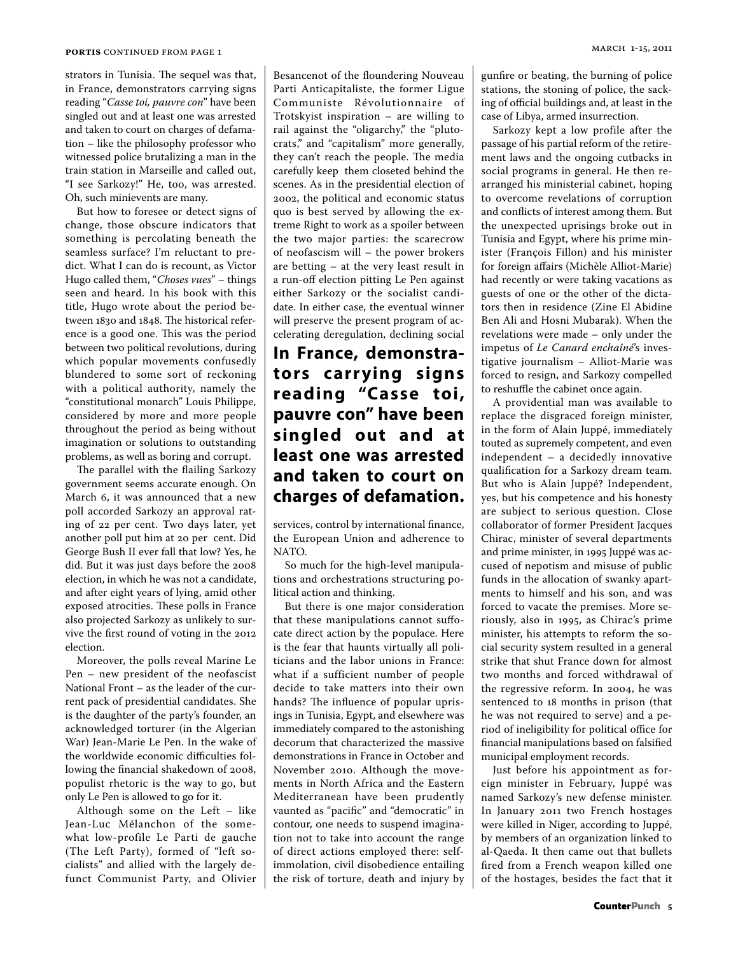strators in Tunisia. The sequel was that, in France, demonstrators carrying signs reading "*Casse toi, pauvre con*" have been singled out and at least one was arrested and taken to court on charges of defamation – like the philosophy professor who witnessed police brutalizing a man in the train station in Marseille and called out, "I see Sarkozy!" He, too, was arrested. Oh, such minievents are many.

But how to foresee or detect signs of change, those obscure indicators that something is percolating beneath the seamless surface? I'm reluctant to predict. What I can do is recount, as Victor Hugo called them, "*Choses vues*" – things seen and heard. In his book with this title, Hugo wrote about the period between 1830 and 1848. The historical reference is a good one. This was the period between two political revolutions, during which popular movements confusedly blundered to some sort of reckoning with a political authority, namely the "constitutional monarch" Louis Philippe, considered by more and more people throughout the period as being without imagination or solutions to outstanding problems, as well as boring and corrupt.

The parallel with the flailing Sarkozy government seems accurate enough. On March 6, it was announced that a new poll accorded Sarkozy an approval rating of 22 per cent. Two days later, yet another poll put him at 20 per cent. Did George Bush II ever fall that low? Yes, he did. But it was just days before the 2008 election, in which he was not a candidate, and after eight years of lying, amid other exposed atrocities. These polls in France also projected Sarkozy as unlikely to survive the first round of voting in the 2012 election.

Moreover, the polls reveal Marine Le Pen – new president of the neofascist National Front – as the leader of the current pack of presidential candidates. She is the daughter of the party's founder, an acknowledged torturer (in the Algerian War) Jean-Marie Le Pen. In the wake of the worldwide economic difficulties following the financial shakedown of 2008, populist rhetoric is the way to go, but only Le Pen is allowed to go for it.

Although some on the Left – like Jean-Luc Mélanchon of the somewhat low-profile Le Parti de gauche (The Left Party), formed of "left socialists" and allied with the largely defunct Communist Party, and Olivier Besancenot of the floundering Nouveau Parti Anticapitaliste, the former Ligue Communiste Révolutionnaire of Trotskyist inspiration – are willing to rail against the "oligarchy," the "plutocrats," and "capitalism" more generally, they can't reach the people. The media carefully keep them closeted behind the scenes. As in the presidential election of 2002, the political and economic status quo is best served by allowing the extreme Right to work as a spoiler between the two major parties: the scarecrow of neofascism will – the power brokers are betting – at the very least result in a run-off election pitting Le Pen against either Sarkozy or the socialist candidate. In either case, the eventual winner will preserve the present program of accelerating deregulation, declining social

## **In France, demonstrators carr ying signs reading "Casse toi, pauvre con" have been singled out and at least one was arrested and taken to court on charges of defamation.**

services, control by international finance, the European Union and adherence to NATO.

So much for the high-level manipulations and orchestrations structuring political action and thinking.

But there is one major consideration that these manipulations cannot suffocate direct action by the populace. Here is the fear that haunts virtually all politicians and the labor unions in France: what if a sufficient number of people decide to take matters into their own hands? The influence of popular uprisings in Tunisia, Egypt, and elsewhere was immediately compared to the astonishing decorum that characterized the massive demonstrations in France in October and November 2010. Although the movements in North Africa and the Eastern Mediterranean have been prudently vaunted as "pacific" and "democratic" in contour, one needs to suspend imagination not to take into account the range of direct actions employed there: selfimmolation, civil disobedience entailing the risk of torture, death and injury by

gunfire or beating, the burning of police stations, the stoning of police, the sacking of official buildings and, at least in the case of Libya, armed insurrection.

Sarkozy kept a low profile after the passage of his partial reform of the retirement laws and the ongoing cutbacks in social programs in general. He then rearranged his ministerial cabinet, hoping to overcome revelations of corruption and conflicts of interest among them. But the unexpected uprisings broke out in Tunisia and Egypt, where his prime minister (François Fillon) and his minister for foreign affairs (Michèle Alliot-Marie) had recently or were taking vacations as guests of one or the other of the dictators then in residence (Zine El Abidine Ben Ali and Hosni Mubarak). When the revelations were made – only under the impetus of *Le Canard enchaîné*'s investigative journalism – Alliot-Marie was forced to resign, and Sarkozy compelled to reshuffle the cabinet once again.

A providential man was available to replace the disgraced foreign minister, in the form of Alain Juppé, immediately touted as supremely competent, and even independent – a decidedly innovative qualification for a Sarkozy dream team. But who is Alain Juppé? Independent, yes, but his competence and his honesty are subject to serious question. Close collaborator of former President Jacques Chirac, minister of several departments and prime minister, in 1995 Juppé was accused of nepotism and misuse of public funds in the allocation of swanky apartments to himself and his son, and was forced to vacate the premises. More seriously, also in 1995, as Chirac's prime minister, his attempts to reform the social security system resulted in a general strike that shut France down for almost two months and forced withdrawal of the regressive reform. In 2004, he was sentenced to 18 months in prison (that he was not required to serve) and a period of ineligibility for political office for financial manipulations based on falsified municipal employment records.

Just before his appointment as foreign minister in February, Juppé was named Sarkozy's new defense minister. In January 2011 two French hostages were killed in Niger, according to Juppé, by members of an organization linked to al-Qaeda. It then came out that bullets fired from a French weapon killed one of the hostages, besides the fact that it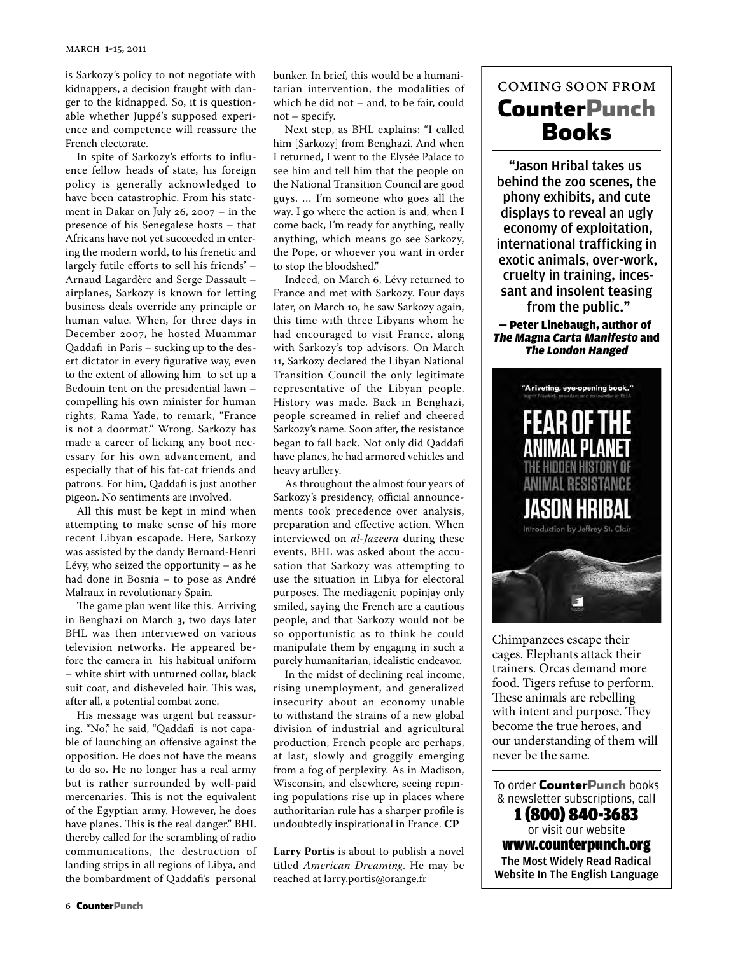is Sarkozy's policy to not negotiate with kidnappers, a decision fraught with danger to the kidnapped. So, it is questionable whether Juppé's supposed experience and competence will reassure the French electorate.

In spite of Sarkozy's efforts to influence fellow heads of state, his foreign policy is generally acknowledged to have been catastrophic. From his statement in Dakar on July 26, 2007 – in the presence of his Senegalese hosts – that Africans have not yet succeeded in entering the modern world, to his frenetic and largely futile efforts to sell his friends' – Arnaud Lagardère and Serge Dassault – airplanes, Sarkozy is known for letting business deals override any principle or human value. When, for three days in December 2007, he hosted Muammar Qaddafi in Paris – sucking up to the desert dictator in every figurative way, even to the extent of allowing him to set up a Bedouin tent on the presidential lawn – compelling his own minister for human rights, Rama Yade, to remark, "France is not a doormat." Wrong. Sarkozy has made a career of licking any boot necessary for his own advancement, and especially that of his fat-cat friends and patrons. For him, Qaddafi is just another pigeon. No sentiments are involved.

All this must be kept in mind when attempting to make sense of his more recent Libyan escapade. Here, Sarkozy was assisted by the dandy Bernard-Henri Lévy, who seized the opportunity – as he had done in Bosnia – to pose as André Malraux in revolutionary Spain.

The game plan went like this. Arriving in Benghazi on March 3, two days later BHL was then interviewed on various television networks. He appeared before the camera in his habitual uniform – white shirt with unturned collar, black suit coat, and disheveled hair. This was, after all, a potential combat zone.

His message was urgent but reassuring. "No," he said, "Qaddafi is not capable of launching an offensive against the opposition. He does not have the means to do so. He no longer has a real army but is rather surrounded by well-paid mercenaries. This is not the equivalent of the Egyptian army. However, he does have planes. This is the real danger." BHL thereby called for the scrambling of radio communications, the destruction of landing strips in all regions of Libya, and the bombardment of Qaddafi's personal bunker. In brief, this would be a humanitarian intervention, the modalities of which he did not – and, to be fair, could not – specify.

Next step, as BHL explains: "I called him [Sarkozy] from Benghazi. And when I returned, I went to the Elysée Palace to see him and tell him that the people on the National Transition Council are good guys. … I'm someone who goes all the way. I go where the action is and, when I come back, I'm ready for anything, really anything, which means go see Sarkozy, the Pope, or whoever you want in order to stop the bloodshed."

Indeed, on March 6, Lévy returned to France and met with Sarkozy. Four days later, on March 10, he saw Sarkozy again, this time with three Libyans whom he had encouraged to visit France, along with Sarkozy's top advisors. On March 11, Sarkozy declared the Libyan National Transition Council the only legitimate representative of the Libyan people. History was made. Back in Benghazi, people screamed in relief and cheered Sarkozy's name. Soon after, the resistance began to fall back. Not only did Qaddafi have planes, he had armored vehicles and heavy artillery.

As throughout the almost four years of Sarkozy's presidency, official announcements took precedence over analysis, preparation and effective action. When interviewed on *al-Jazeera* during these events, BHL was asked about the accusation that Sarkozy was attempting to use the situation in Libya for electoral purposes. The mediagenic popinjay only smiled, saying the French are a cautious people, and that Sarkozy would not be so opportunistic as to think he could manipulate them by engaging in such a purely humanitarian, idealistic endeavor.

In the midst of declining real income, rising unemployment, and generalized insecurity about an economy unable to withstand the strains of a new global division of industrial and agricultural production, French people are perhaps, at last, slowly and groggily emerging from a fog of perplexity. As in Madison, Wisconsin, and elsewhere, seeing repining populations rise up in places where authoritarian rule has a sharper profile is undoubtedly inspirational in France. **CP**

**Larry Portis** is about to publish a novel titled *American Dreaming*. He may be reached at larry.portis@orange.fr

## coming soon from CounterPunch Books

"Jason Hribal takes us behind the zoo scenes, the phony exhibits, and cute displays to reveal an ugly economy of exploitation, international trafficking in exotic animals, over-work, cruelty in training, incessant and insolent teasing from the public."

— Peter Linebaugh, author of The Magna Carta Manifesto and The London Hanged



Chimpanzees escape their cages. Elephants attack their trainers. Orcas demand more food. Tigers refuse to perform. These animals are rebelling with intent and purpose. They become the true heroes, and our understanding of them will never be the same.

To order **CounterPunch** books & newsletter subscriptions, call 1 (800) 840-3683 or visit our website www.counterpunch.org The Most Widely Read Radical Website In The English Language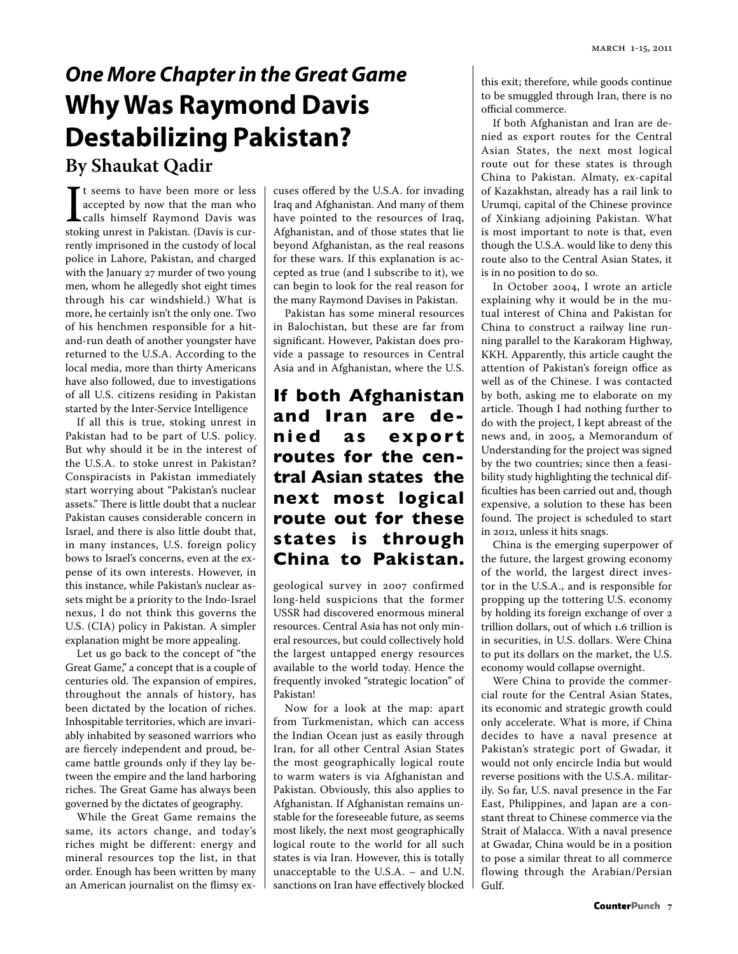## *One More Chapter in the Great Game* **Why Was Raymond Davis Destabilizing Pakistan? By Shaukat Qadir**

It seems to have been more or less<br>accepted by now that the man who<br>calls himself Raymond Davis was<br>stoking unrest in Pakistan. (Davis is curt seems to have been more or less accepted by now that the man who calls himself Raymond Davis was rently imprisoned in the custody of local police in Lahore, Pakistan, and charged with the January 27 murder of two young men, whom he allegedly shot eight times through his car windshield.) What is more, he certainly isn't the only one. Two of his henchmen responsible for a hitand-run death of another youngster have returned to the U.S.A. According to the local media, more than thirty Americans have also followed, due to investigations of all U.S. citizens residing in Pakistan started by the Inter-Service Intelligence

If all this is true, stoking unrest in Pakistan had to be part of U.S. policy. But why should it be in the interest of the U.S.A. to stoke unrest in Pakistan? Conspiracists in Pakistan immediately start worrying about "Pakistan's nuclear assets." There is little doubt that a nuclear Pakistan causes considerable concern in Israel, and there is also little doubt that, in many instances, U.S. foreign policy bows to Israel's concerns, even at the expense of its own interests. However, in this instance, while Pakistan's nuclear assets might be a priority to the Indo-Israel nexus, I do not think this governs the U.S. (CIA) policy in Pakistan. A simpler explanation might be more appealing.

Let us go back to the concept of "the Great Game," a concept that is a couple of centuries old. The expansion of empires, throughout the annals of history, has been dictated by the location of riches. Inhospitable territories, which are invariably inhabited by seasoned warriors who are fiercely independent and proud, became battle grounds only if they lay between the empire and the land harboring riches. The Great Game has always been governed by the dictates of geography.

While the Great Game remains the same, its actors change, and today's riches might be different: energy and mineral resources top the list, in that order. Enough has been written by many an American journalist on the flimsy excuses offered by the U.S.A. for invading Iraq and Afghanistan. And many of them have pointed to the resources of Iraq, Afghanistan, and of those states that lie beyond Afghanistan, as the real reasons for these wars. If this explanation is accepted as true (and I subscribe to it), we can begin to look for the real reason for the many Raymond Davises in Pakistan.

Pakistan has some mineral resources in Balochistan, but these are far from significant. However, Pakistan does provide a passage to resources in Central Asia and in Afghanistan, where the U.S.

## **If both Afghanistan and Iran are denied as export routes for the central Asian states the next most logical route out for these states is through China to Pakistan.**

geological survey in 2007 confirmed long-held suspicions that the former USSR had discovered enormous mineral resources. Central Asia has not only mineral resources, but could collectively hold the largest untapped energy resources available to the world today. Hence the frequently invoked "strategic location" of Pakistan!

Now for a look at the map: apart from Turkmenistan, which can access the Indian Ocean just as easily through Iran, for all other Central Asian States the most geographically logical route to warm waters is via Afghanistan and Pakistan. Obviously, this also applies to Afghanistan. If Afghanistan remains unstable for the foreseeable future, as seems most likely, the next most geographically logical route to the world for all such states is via Iran. However, this is totally unacceptable to the U.S.A. – and U.N. sanctions on Iran have effectively blocked

this exit; therefore, while goods continue to be smuggled through Iran, there is no official commerce.

If both Afghanistan and Iran are denied as export routes for the Central Asian States, the next most logical route out for these states is through China to Pakistan. Almaty, ex-capital of Kazakhstan, already has a rail link to Urumqi, capital of the Chinese province of Xinkiang adjoining Pakistan. What is most important to note is that, even though the U.S.A. would like to deny this route also to the Central Asian States, it is in no position to do so.

In October 2004, I wrote an article explaining why it would be in the mutual interest of China and Pakistan for China to construct a railway line running parallel to the Karakoram Highway, KKH. Apparently, this article caught the attention of Pakistan's foreign office as well as of the Chinese. I was contacted by both, asking me to elaborate on my article. Though I had nothing further to do with the project, I kept abreast of the news and, in 2005, a Memorandum of Understanding for the project was signed by the two countries; since then a feasibility study highlighting the technical difficulties has been carried out and, though expensive, a solution to these has been found. The project is scheduled to start in 2012, unless it hits snags.

China is the emerging superpower of the future, the largest growing economy of the world, the largest direct investor in the U.S.A., and is responsible for propping up the tottering U.S. economy by holding its foreign exchange of over 2 trillion dollars, out of which 1.6 trillion is in securities, in U.S. dollars. Were China to put its dollars on the market, the U.S. economy would collapse overnight.

Were China to provide the commercial route for the Central Asian States, its economic and strategic growth could only accelerate. What is more, if China decides to have a naval presence at Pakistan's strategic port of Gwadar, it would not only encircle India but would reverse positions with the U.S.A. militarily. So far, U.S. naval presence in the Far East, Philippines, and Japan are a constant threat to Chinese commerce via the Strait of Malacca. With a naval presence at Gwadar, China would be in a position to pose a similar threat to all commerce flowing through the Arabian/Persian Gulf.